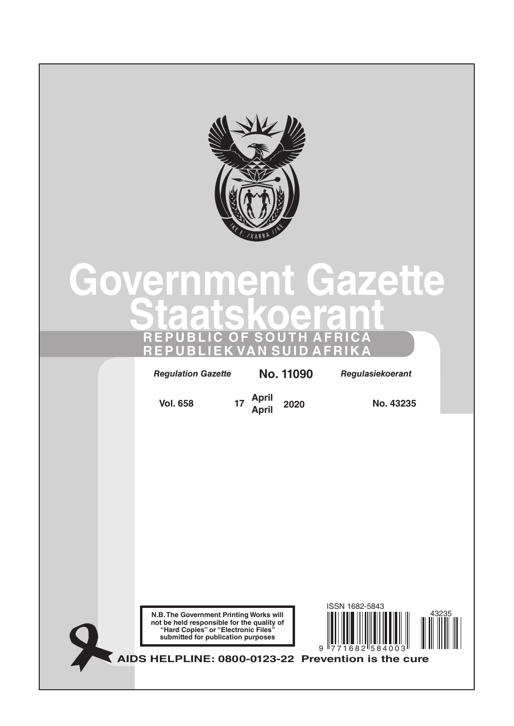

# **Government Gazette Staatskoerant REPUBLIC OF SOUTH AFRICA REPUBLIEK VAN SUID AFRIKA**

*Regulation Gazette* **No. 10177** *Regulasiekoerant Regulation Gazette* **No. 11090** *Regulasiekoerant*

**Vol. 658 <sup>17</sup> April** 

**April <sup>2020</sup> No. 43235**





**AIDS HELPLINE: 0800-0123-22 Prevention is the cure**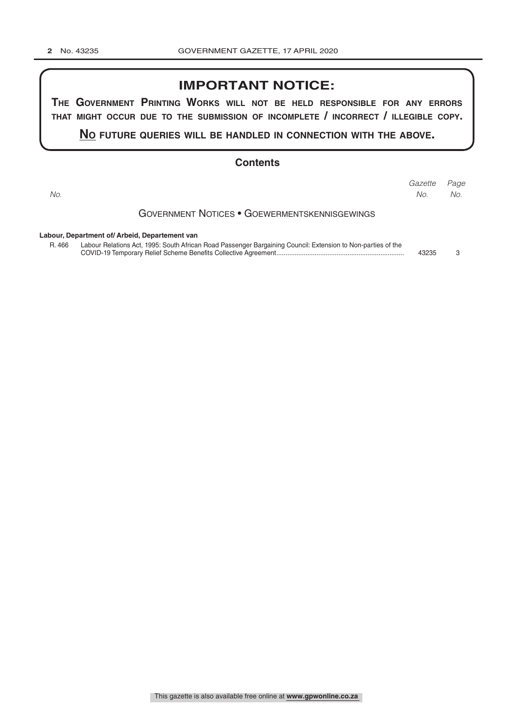# **IMPORTANT NOTICE:**

**The GovernmenT PrinTinG Works Will noT be held resPonsible for any errors ThaT miGhT occur due To The submission of incomPleTe / incorrecT / illeGible coPy.**

**no fuTure queries Will be handled in connecTion WiTh The above.**

# **Contents**

|                                                                                                                        | Gazette | Page |
|------------------------------------------------------------------------------------------------------------------------|---------|------|
| No.                                                                                                                    | No.     | No.  |
| <b>GOVERNMENT NOTICES • GOEWERMENTSKENNISGEWINGS</b>                                                                   |         |      |
| Labour, Department of/ Arbeid, Departement van                                                                         |         |      |
| Labour Relations Act, 1995: South African Road Passenger Bargaining Council: Extension to Non-parties of the<br>R. 466 |         |      |

COVID-19 Temporary Relief Scheme Benefits Collective Agreement...................................................................... 43235 3

This gazette is also available free online at **www.gpwonline.co.za**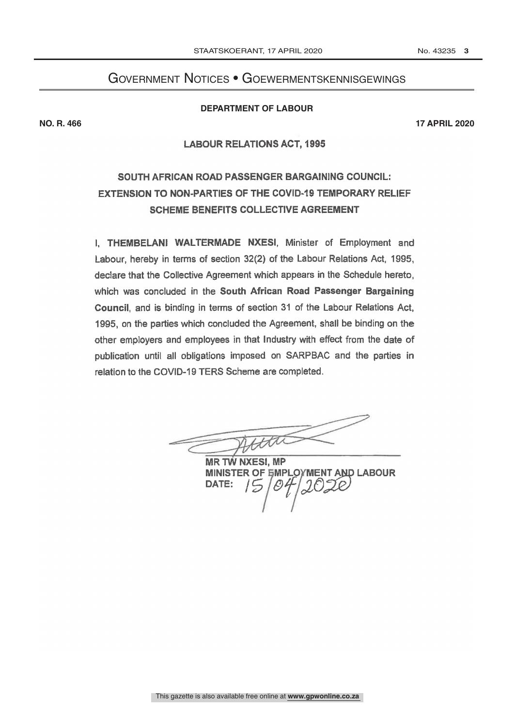# Government Notices • Goewermentskennisgewings

## **DEPARTMENT OF LABOUR**

**NO. R. 466 17 APRIL 2020**

# LABOUR RELATIONS ACT, 1995

# SOUTH AFRICAN ROAD PASSENGER BARGAINING COUNCIL: EXTENSION TO NON-PARTIES OF THE COVID-19 TEMPORARY RELIEF SCHEME BENEFITS COLLECTIVE AGREEMENT

I, THEMBELANI WALTERMADE NXESI, Minister of Employment and Labour, hereby in terms of section 32(2) of the Labour Relations Act, 1995, declare that the Collective Agreement which appears in the Schedule hereto, which was concluded in the South African Road Passenger Bargaining Council, and is binding in terms of section 31 of the Labour Relations Act, 1995, on the parties which concluded the Agreement, shall be binding on the other employers and employees in that Industry with effect from the date of publication until all obligations imposed on SARPBAC and the parties in relation to the COVID-19 TERS Scheme are completed.

MINISTER OF EMPLOYMENT AND LABOUR<br>DATE:  $15/04/2020$ MR TW NXESI, MP MR TW NXESI, MP<br>MINISTER OF EMPLOYMENT AND LABOUR<br>DATE:  $150412020$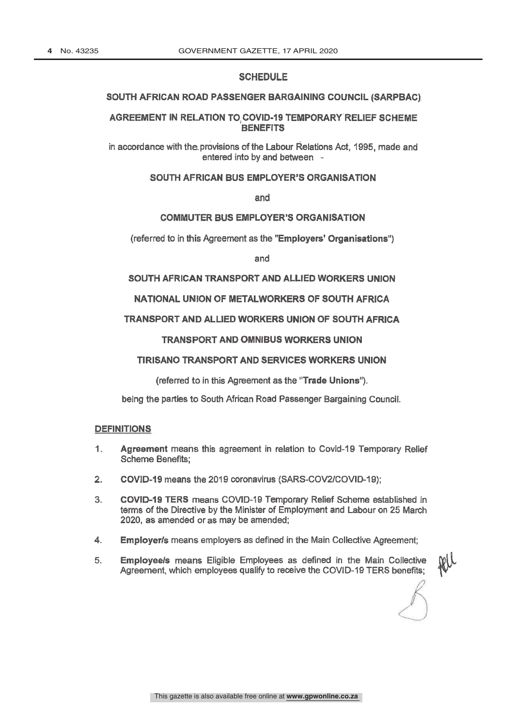#### **SCHEDULE**

#### SOUTH AFRICAN ROAD PASSENGER BARGAINING COUNCIL (SARPBAC).

AGREEMENT IN RELATION TO COVID-19 TEMPORARY RELIEF SCHEME **BENEFITS** 

in accordance with the. provisions of the Labour Relations Act, 1995, made and entered into by and between -

## SOUTH AFRICAN BUS EMPLOYER'S ORGANISATION

and

#### COMMUTER BUS EMPLOYER'S ORGANISATION

(referred to in this Agreement as the "Employers' Organisations")

and

# SOUTH AFRICAN TRANSPORT AND ALLIED WORKERS UNION

NATIONAL UNION OF METALWORKERS OF SOUTH AFRICA

TRANSPORT AND ALLIED WORKERS UNION OF SOUTH AFRICA

## TRANSPORT AND OMNIBUS WORKERS UNION

#### TIRISANO TRANSPORT AND SERVICES WORKERS UNION

(referred to in this Agreement as the "Trade Unions ").

being the parties to South African Road Passenger Bargaining Council.

## **DEFINITIONS**

- 1. Agreement means this agreement in relation to Covid -19 Temporary Relief Scheme Benefits;
- 2. COVID-19 means the 2019 coronavirus (SARS-COV2/COVID-19);
- 3. COVID -19 TERS means COVID -19 Temporary Relief Scheme established in terms of the Directive by the Minister of Employment and Labour on 25 March 2020, as amended or as may be amended;
- 4. Employer/s means employers as defined in the Main Collective Agreement;
- 5. Employeels means Eligible Employees as defined in the Main Collective Agreement, which employees qualify to receive the COVID-19 TERS benefits;

This gazette is also available free online at **www.gpwonline.co.za**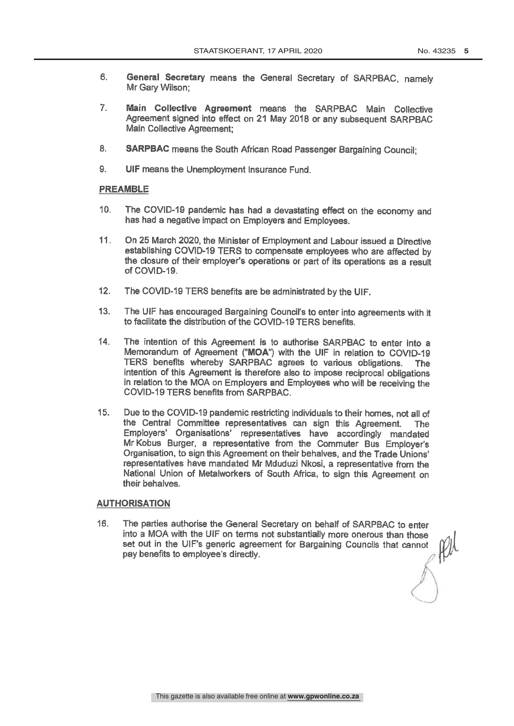- 6. General Secretary means the General Secretary of SARPBAC, namely Mr Gary Wilson;
- 7. Main Collective Agreement means the SARPBAC Main Collective Agreement signed into effect on 21 May 2018 or any subsequent SARPBAC Main Collective Agreement;
- 8. SARPBAC means the South African Road Passenger Bargaining Council:
- 9. UIF means the Unemployment Insurance Fund.

#### PREAMBLE

- 10. The COVID-19 pandemic has had a devastating effect on the economy and has had a negative impact on Employers and Employees.
- 11 On 25 March 2020, the Minister of Employment and Labour issued a Directive establishing COVID-19 TERS to compensate employees who are affected by the closure of their employer's operations or part of its operations as a result of COVID-19.
- 12. The COVID-19 TERS benefits are be administrated by the UIF.
- 13. The UIF has encouraged Bargaining Council's to enter into agreements with it to facilitate the distribution of the COVID-19 TERS benefits.
- 14. The intention of this Agreement is to authorise SARPBAC to enter into <sup>a</sup> Memorandum of Agreement ("MOA") with the UIF in relation to COVID-19 TERS benefits whereby SARPBAC agrees to various obligations. The intention of this Agreement is therefore also to impose reciprocal obligations in relation to the MOA on Employers and Employees who will be receiving the COVID-19 TERS benefits from SARPBAC.
- 15. Due to the COVID-19 pandemic restricting individuals to their homes, not all of the Central Committee representatives can sign this Agreement. The Employers' Organisations' representatives have accordingly mandated Mr Kobus Burger, a representative from the Commuter Bus Employer's Organisation, to sign this Agreement on their behalves, and the Trade Unions' representatives have mandated Mr Mduduzi Nkosi, a representative from the National Union of Metalworkers of South Africa, to sign this. Agreement on their behalves.

#### AUTHORISATION

16. The parties authorise the General Secretary on behalf of SARPBAC to enter into a MOA with the UIF on terms not substantially more onerous than those set out in the UIF's generic agreement for Bargaining Councils that cannot pay benefits to employee's directly.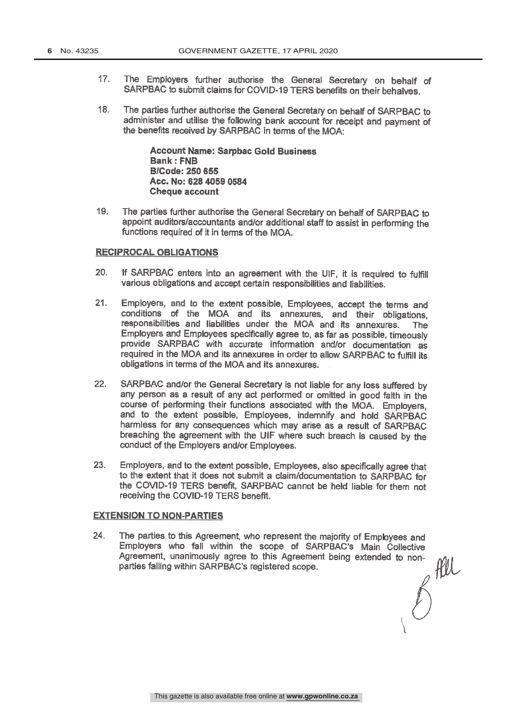- 17. The Employers further authorise the General Secretary on behalf of SARPBAC to submit claims for COVID -19 TERS benefits on their behalves.
- 18. The parties further authorise the General Secretary on behalf of SARPBAC to administer and utilise the following bank account for receipt and payment of the benefits received by SARPBAC in terms of the MOA:

Account Name: Sarpbac Gold Business Bank : FNB B/Code: 250 655 Acc. No: 628 4059 0584 Cheque account

19. The parties further authorise the General Secretary on behalf of SARPBAC to appoint auditors/accountants and/or additional staff to assist in performing the functions required of it in terms of the MOA.

#### RECIPROCAL OBLIGATIONS

- 20. If SARPBAC enters into an agreement with the UIF, it is required to fulfill various obligations and accept certain responsibilities and liabilities.
- 21. Employers, and to the extent possible, Employees, accept the terms and conditions of the MOA and its annexures, and their obligations, responsibilities and liabilities under the MOA and its annexures. The Employers and Employees specifically agree to, as far as possible, timeously provide SARPBAC with accurate information and/or documentation as required in the MOA and its annexures in order to allow SARPBAC to fulfill its obligations in terms of the MOA and its annexures.
- 22. SARPBAC and/or the General Secretary is not liable for any loss suffered by any person as a result of any act performed or omitted in good faith in the course of performing their functions associated with the MOA. Employers, and to the extent possible, Employees, indemnify and hold SARPBAC harmless for any consequences which may arise as a result of SARPBAC breaching the agreement with the UlF where such breach is caused by the conduct of the Employers and /or Employees.
- 23. Employers, and to the extent possible, Employees, also specifically agree that to the extent that it does not submit a claim /documentation to SARPBAC for the COVID-19 TERS benefit, SARPBAC cannot be held liable for them not receiving the COVID-19 TERS benefit.

### **EXTENSION TO NON-PARTIES**

24. The parties to this Agreement, who represent the majority of Employees and Employers who fall within the scope of SARPBAC's Main Collective Agreement, unanimously agree to this Agreement being extended to nonparties falling within SARPBAC's registered scope.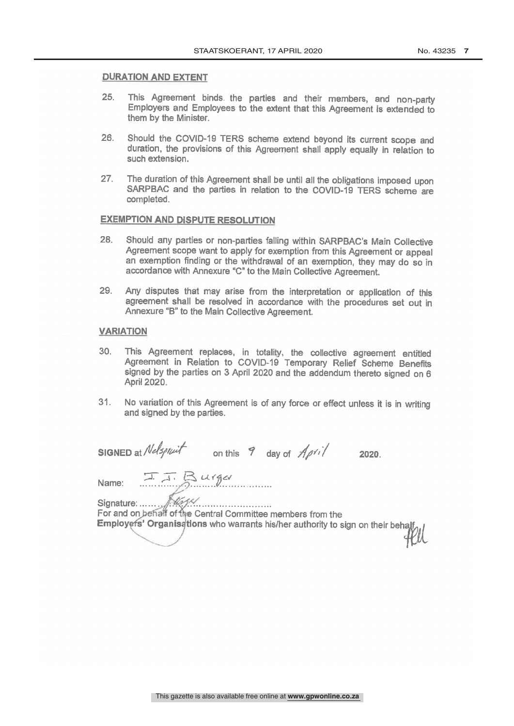#### DURATION AND EXTENT

- 25. This Agreement binds the parties and their members, and non-party Employers and Employees to the extent that this Agreement is extended to them by the Minister.
- 26. Should the COVID-19 TERS scheme extend beyond its current scope and duration, the provisions of this Agreement shall apply equally in relation to such extension.
- 27. The duration of this Agreement shall be until all the obligations imposed upon SARPBAC and the parties in relation to the COVID-19 TERS scheme are completed.

#### EXEMPTION AND DISPUTE RESOLUTION

- 28. Should any parties or non -parties falling within SARPBAC's Main Collective Agreement scope want to apply for exemption from this Agreement or appeal an exemption finding or the withdrawal of an exemption, they may do so in accordance with Annexure "C" to the Main Collective Agreement.
- 29. Any disputes that may arise from the interpretation or application of this agreement shall be resolved in accordance with the procedures set out in Annexure "B" to the Main Collective Agreement.

#### VARIATION

- 30. This Agreement replaces, in totality, the collective agreement entitled Agreement in Relation to COVID-19 Temporary Relief Scheme Benefits signed by the parties on 3 April 2020 and the addendum thereto signed on 6 April 2020.
- 31. No variation of this Agreement is of any force or effect unless it is in writing and signed by the parties.

SIGNED at Nelsprint on this 9 day of  $A\rho I/I$  2020. Name:  $\overline{1.5.}$   $\overline{3.}$   $\overline{4.7.}$ Signature: For and on behalf of the Central Committee members from the Employets' Organisations who warrants his/her authority to sign on their behal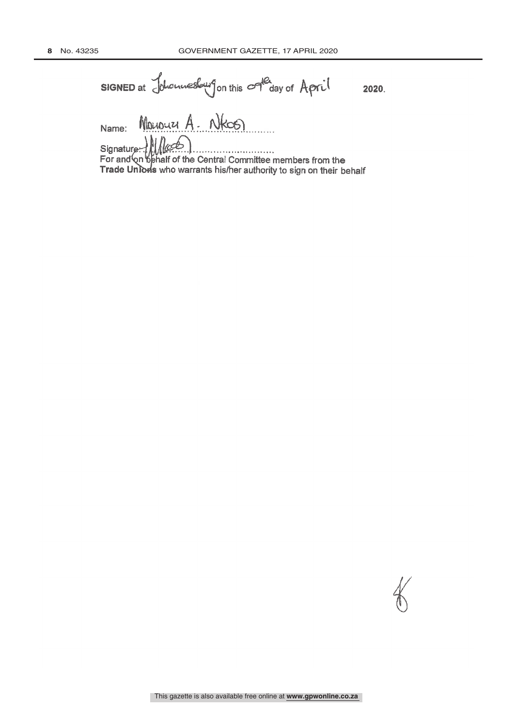SIGNED at Johannesburg on this  $\text{cm}^{\text{ex}}$  day of  $\text{Apri}$  202  $N$ ame:  $M$ buou $u$   $A$ .  $N$  $k$ c $S$ ) Signatur For and Trade Un half of the Central Committee members from the s who warrants his/her authority to sign on their behalf 2020.



This gazette is also available free online at **www.gpwonline.co.za**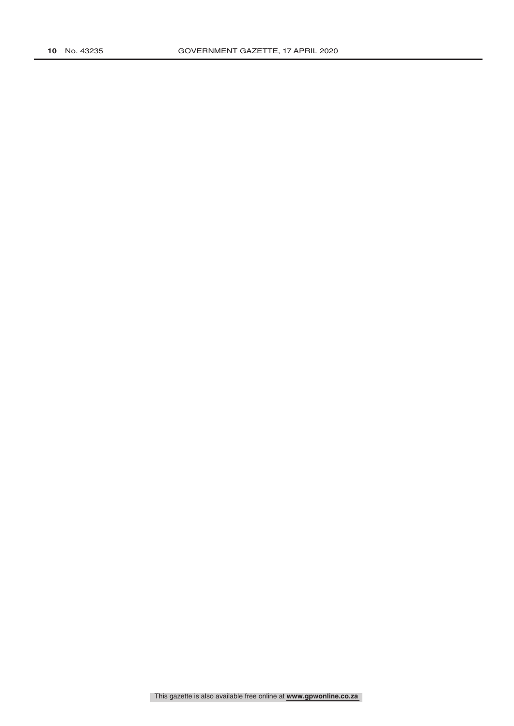This gazette is also available free online at **www.gpwonline.co.za**